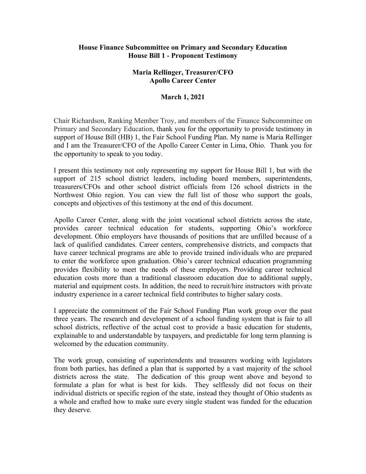## **House Finance Subcommittee on Primary and Secondary Education House Bill 1 - Proponent Testimony**

## **Maria Rellinger, Treasurer/CFO Apollo Career Center**

## **March 1, 2021**

Chair Richardson, Ranking Member Troy, and members of the Finance Subcommittee on Primary and Secondary Education, thank you for the opportunity to provide testimony in support of House Bill (HB) 1, the Fair School Funding Plan. My name is Maria Rellinger and I am the Treasurer/CFO of the Apollo Career Center in Lima, Ohio. Thank you for the opportunity to speak to you today.

I present this testimony not only representing my support for House Bill 1, but with the support of 215 school district leaders, including board members, superintendents, treasurers/CFOs and other school district officials from 126 school districts in the Northwest Ohio region. You can view the full list of those who support the goals, concepts and objectives of this testimony at the end of this document.

Apollo Career Center, along with the joint vocational school districts across the state, provides career technical education for students, supporting Ohio's workforce development. Ohio employers have thousands of positions that are unfilled because of a lack of qualified candidates. Career centers, comprehensive districts, and compacts that have career technical programs are able to provide trained individuals who are prepared to enter the workforce upon graduation. Ohio's career technical education programming provides flexibility to meet the needs of these employers. Providing career technical education costs more than a traditional classroom education due to additional supply, material and equipment costs. In addition, the need to recruit/hire instructors with private industry experience in a career technical field contributes to higher salary costs.

I appreciate the commitment of the Fair School Funding Plan work group over the past three years. The research and development of a school funding system that is fair to all school districts, reflective of the actual cost to provide a basic education for students, explainable to and understandable by taxpayers, and predictable for long term planning is welcomed by the education community.

The work group, consisting of superintendents and treasurers working with legislators from both parties, has defined a plan that is supported by a vast majority of the school districts across the state. The dedication of this group went above and beyond to formulate a plan for what is best for kids. They selflessly did not focus on their individual districts or specific region of the state, instead they thought of Ohio students as a whole and crafted how to make sure every single student was funded for the education they deserve.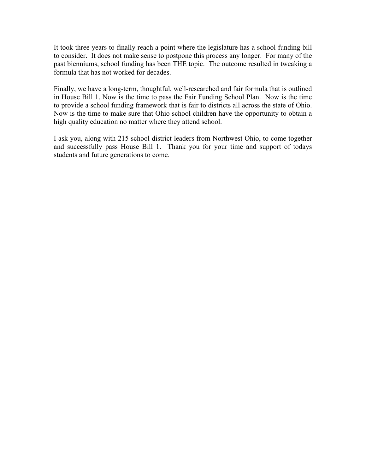It took three years to finally reach a point where the legislature has a school funding bill to consider. It does not make sense to postpone this process any longer. For many of the past bienniums, school funding has been THE topic. The outcome resulted in tweaking a formula that has not worked for decades.

Finally, we have a long-term, thoughtful, well-researched and fair formula that is outlined in House Bill 1. Now is the time to pass the Fair Funding School Plan. Now is the time to provide a school funding framework that is fair to districts all across the state of Ohio. Now is the time to make sure that Ohio school children have the opportunity to obtain a high quality education no matter where they attend school.

I ask you, along with 215 school district leaders from Northwest Ohio, to come together and successfully pass House Bill 1. Thank you for your time and support of todays students and future generations to come.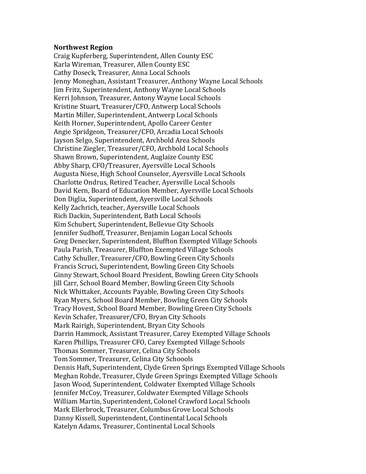## **Northwest Region**

Craig Kupferberg, Superintendent, Allen County ESC Karla Wireman, Treasurer, Allen County ESC Cathy Doseck, Treasurer, Anna Local Schools Jenny Moneghan, Assistant Treasurer, Anthony Wayne Local Schools Jim Fritz, Superintendent, Anthony Wayne Local Schools Kerri Johnson, Treasurer, Antony Wayne Local Schools Kristine Stuart, Treasurer/CFO, Antwerp Local Schools Martin Miller, Superintendent, Antwerp Local Schools Keith Horner, Superintendent, Apollo Career Center Angie Spridgeon, Treasurer/CFO, Arcadia Local Schools Jayson Selgo, Superintendent, Archbold Area Schools Christine Ziegler, Treasurer/CFO, Archbold Local Schools Shawn Brown, Superintendent, Auglaize County ESC Abby Sharp, CFO/Treasurer, Ayersville Local Schools Augusta Niese, High School Counselor, Ayersville Local Schools Charlotte Ondrus, Retired Teacher, Ayersville Local Schools David Kern, Board of Education Member, Ayersville Local Schools Don Diglia, Superintendent, Ayersville Local Schools Kelly Zachrich, teacher, Ayersville Local Schools Rich Dackin, Superintendent, Bath Local Schools Kim Schubert, Superintendent, Bellevue City Schools Jennifer Sudhoff, Treasurer, Benjamin Logan Local Schools Greg Denecker, Superintendent, Bluffton Exempted Village Schools Paula Parish, Treasurer, Bluffton Exempted Village Schools Cathy Schuller, Treasurer/CFO, Bowling Green City Schools Francis Scruci, Superintendent, Bowling Green City Schools Ginny Stewart, School Board President, Bowling Green City Schools Jill Carr, School Board Member, Bowling Green City Schools Nick Whittaker, Accounts Payable, Bowling Green City Schools Ryan Myers, School Board Member, Bowling Green City Schools Tracy Hovest, School Board Member, Bowling Green City Schools Kevin Schafer, Treasurer/CFO, Bryan City Schools Mark Rairigh, Superintendent, Bryan City Schools Darrin Hammock, Assistant Treasurer, Carey Exempted Village Schools Karen Phillips, Treasurer CFO, Carey Exempted Village Schools Thomas Sommer, Treasurer, Celina City Schools Tom Sommer, Treasurer, Celina City Schoools Dennis Haft, Superintendent, Clyde Green Springs Exempted Village Schools Meghan Rohde, Treasurer, Clyde Green Springs Exempted Village Schools Jason Wood, Superintendent, Coldwater Exempted Village Schools Jennifer McCoy, Treasurer, Coldwater Exempted Village Schools William Martin, Superintendent, Colonel Crawford Local Schools Mark Ellerbrock, Treasurer, Columbus Grove Local Schools Danny Kissell, Superintendent, Continental Local Schools Katelyn Adams, Treasurer, Continental Local Schools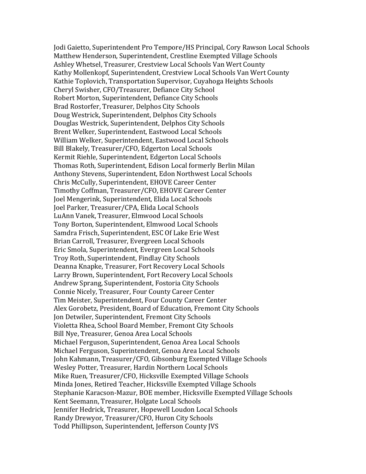Jodi Gaietto, Superintendent Pro Tempore/HS Principal, Cory Rawson Local Schools Matthew Henderson, Superintendent, Crestline Exempted Village Schools Ashley Whetsel, Treasurer, Crestview Local Schools Van Wert County Kathy Mollenkopf, Superintendent, Crestview Local Schools Van Wert County Kathie Toplovich, Transportation Supervisor, Cuyahoga Heights Schools Cheryl Swisher, CFO/Treasurer, Defiance City School Robert Morton, Superintendent, Defiance City Schools Brad Rostorfer, Treasurer, Delphos City Schools Doug Westrick, Superintendent, Delphos City Schools Douglas Westrick, Superintendent, Delphos City Schools Brent Welker, Superintendent, Eastwood Local Schools William Welker, Superintendent, Eastwood Local Schools Bill Blakely, Treasurer/CFO, Edgerton Local Schools Kermit Riehle, Superintendent, Edgerton Local Schools Thomas Roth, Superintendent, Edison Local formerly Berlin Milan Anthony Stevens, Superintendent, Edon Northwest Local Schools Chris McCully, Superintendent, EHOVE Career Center Timothy Coffman, Treasurer/CFO, EHOVE Career Center Joel Mengerink, Superintendent, Elida Local Schools Joel Parker, Treasurer/CPA, Elida Local Schools LuAnn Vanek, Treasurer, Elmwood Local Schools Tony Borton, Superintendent, Elmwood Local Schools Samdra Frisch, Superintendent, ESC Of Lake Erie West Brian Carroll, Treasurer, Evergreen Local Schools Eric Smola, Superintendent, Evergreen Local Schools Troy Roth, Superintendent, Findlay City Schools Deanna Knapke, Treasurer, Fort Recovery Local Schools Larry Brown, Superintendent, Fort Recovery Local Schools Andrew Sprang, Superintendent, Fostoria City Schools Connie Nicely, Treasurer, Four County Career Center Tim Meister, Superintendent, Four County Career Center Alex Gorobetz, President, Board of Education, Fremont City Schools Jon Detwiler, Superintendent, Fremont City Schools Violetta Rhea, School Board Member, Fremont City Schools Bill Nye, Treasurer, Genoa Area Local Schools Michael Ferguson, Superintendent, Genoa Area Local Schools Michael Ferguson, Superintendent, Genoa Area Local Schools John Kahmann, Treasurer/CFO, Gibsonburg Exempted Village Schools Wesley Potter, Treasurer, Hardin Northern Local Schools Mike Ruen, Treasurer/CFO, Hicksville Exempted Village Schools Minda Jones, Retired Teacher, Hicksville Exempted Village Schools Stephanie Karacson-Mazur, BOE member, Hicksville Exempted Village Schools Kent Seemann, Treasurer, Holgate Local Schools Jennifer Hedrick, Treasurer, Hopewell Loudon Local Schools Randy Drewyor, Treasurer/CFO, Huron City Schools Todd Phillipson, Superintendent, Jefferson County JVS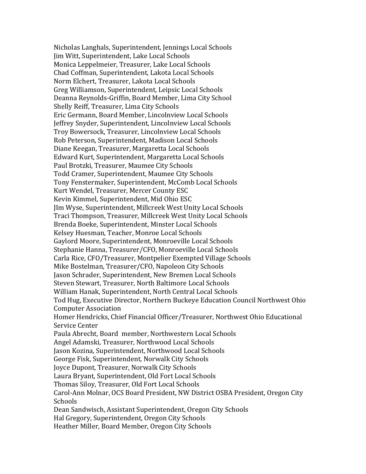Nicholas Langhals, Superintendent, Jennings Local Schools Jim Witt, Superintendent, Lake Local Schools Monica Leppelmeier, Treasurer, Lake Local Schools Chad Coffman, Superintendent, Lakota Local Schools Norm Elchert, Treasurer, Lakota Local Schools Greg Williamson, Superintendent, Leipsic Local Schools Deanna Reynolds-Griffin, Board Member, Lima City School Shelly Reiff, Treasurer, Lima City Schools Eric Germann, Board Member, Lincolnview Local Schools Jeffrey Snyder, Superintendent, Lincolnview Local Schools Troy Bowersock, Treasurer, Lincolnview Local Schools Rob Peterson, Superintendent, Madison Local Schools Diane Keegan, Treasurer, Margaretta Local Schools Edward Kurt, Superintendent, Margaretta Local Schools Paul Brotzki, Treasurer, Maumee City Schools Todd Cramer, Superintendent, Maumee City Schools Tony Fenstermaker, Superintendent, McComb Local Schools Kurt Wendel, Treasurer, Mercer County ESC Kevin Kimmel, Superintendent, Mid Ohio ESC JIm Wyse, Superintendent, Millcreek West Unity Local Schools Traci Thompson, Treasurer, Millcreek West Unity Local Schools Brenda Boeke, Superintendent, Minster Local Schools Kelsey Huesman, Teacher, Monroe Local Schools Gaylord Moore, Superintendent, Monroeville Local Schools Stephanie Hanna, Treasurer/CFO, Monroeville Local Schools Carla Rice, CFO/Treasurer, Montpelier Exempted Village Schools Mike Bostelman, Treasurer/CFO, Napoleon City Schools Jason Schrader, Superintendent, New Bremen Local Schools Steven Stewart, Treasurer, North Baltimore Local Schools William Hanak, Superintendent, North Central Local Schools Tod Hug, Executive Director, Northern Buckeye Education Council Northwest Ohio Computer Association Homer Hendricks, Chief Financial Officer/Treasurer, Northwest Ohio Educational Service Center Paula Abrecht, Board member, Northwestern Local Schools Angel Adamski, Treasurer, Northwood Local Schools Jason Kozina, Superintendent, Northwood Local Schools George Fisk, Superintendent, Norwalk City Schools Joyce Dupont, Treasurer, Norwalk City Schools Laura Bryant, Superintendent, Old Fort Local Schools Thomas Siloy, Treasurer, Old Fort Local Schools Carol-Ann Molnar, OCS Board President, NW District OSBA President, Oregon City Schools Dean Sandwisch, Assistant Superintendent, Oregon City Schools Hal Gregory, Superintendent, Oregon City Schools Heather Miller, Board Member, Oregon City Schools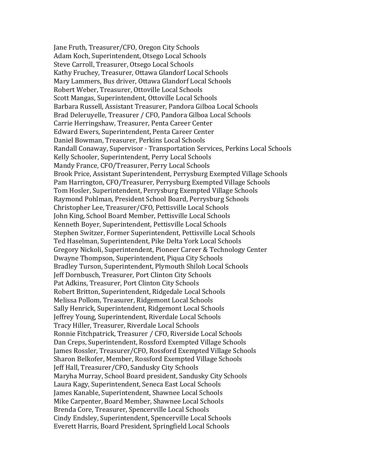Jane Fruth, Treasurer/CFO, Oregon City Schools Adam Koch, Superintendent, Otsego Local Schools Steve Carroll, Treasurer, Otsego Local Schools Kathy Fruchey, Treasurer, Ottawa Glandorf Local Schools Mary Lammers, Bus driver, Ottawa Glandorf Local Schools Robert Weber, Treasurer, Ottoville Local Schools Scott Mangas, Superintendent, Ottoville Local Schools Barbara Russell, Assistant Treasurer, Pandora Gilboa Local Schools Brad Deleruyelle, Treasurer / CFO, Pandora Gilboa Local Schools Carrie Herringshaw, Treasurer, Penta Career Center Edward Ewers, Superintendent, Penta Career Center Daniel Bowman, Treasurer, Perkins Local Schools Randall Conaway, Supervisor - Transportation Services, Perkins Local Schools Kelly Schooler, Superintendent, Perry Local Schools Mandy France, CFO/Treasurer, Perry Local Schools Brook Price, Assistant Superintendent, Perrysburg Exempted Village Schools Pam Harrington, CFO/Treasurer, Perrysburg Exempted Village Schools Tom Hosler, Superintendent, Perrysburg Exempted Village Schools Raymond Pohlman, President School Board, Perrysburg Schools Christopher Lee, Treasurer/CFO, Pettisville Local Schools John King, School Board Member, Pettisville Local Schools Kenneth Boyer, Superintendent, Pettisville Local Schools Stephen Switzer, Former Superintendent, Pettisville Local Schools Ted Haselman, Superintendent, Pike Delta York Local Schools Gregory Nickoli, Superintendent, Pioneer Career & Technology Center Dwayne Thompson, Superintendent, Piqua City Schools Bradley Turson, Superintendent, Plymouth Shiloh Local Schools Jeff Dornbusch, Treasurer, Port Clinton City Schools Pat Adkins, Treasurer, Port Clinton City Schools Robert Britton, Superintendent, Ridgedale Local Schools Melissa Pollom, Treasurer, Ridgemont Local Schools Sally Henrick, Superintendent, Ridgemont Local Schools Jeffrey Young, Superintendent, Riverdale Local Schools Tracy Hiller, Treasurer, Riverdale Local Schools Ronnie Fitchpatrick, Treasurer / CFO, Riverside Local Schools Dan Creps, Superintendent, Rossford Exempted Village Schools James Rossler, Treasurer/CFO, Rossford Exempted Village Schools Sharon Belkofer, Member, Rossford Exempted Village Schools Jeff Hall, Treasurer/CFO, Sandusky City Schools Maryha Murray, School Board president, Sandusky City Schools Laura Kagy, Superintendent, Seneca East Local Schools James Kanable, Superintendent, Shawnee Local Schools Mike Carpenter, Board Member, Shawnee Local Schools Brenda Core, Treasurer, Spencerville Local Schools Cindy Endsley, Superintendent, Spencerville Local Schools Everett Harris, Board President, Springfield Local Schools